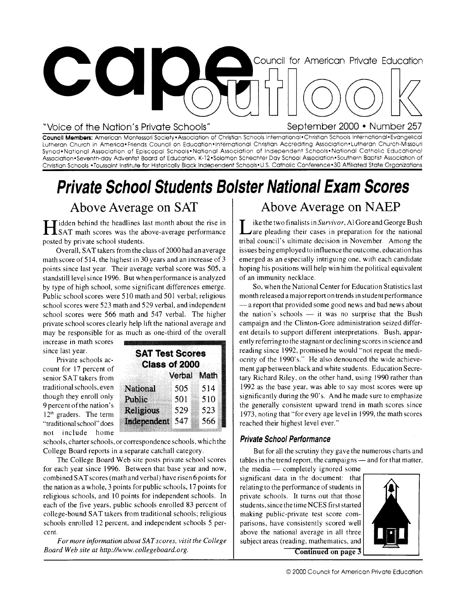

#### "Voice of the Nation's Private Schools" September 2000 • Number 257

Council Members: American Montessori Society•Association of Christian Schools International •Christian Schools International•Evangelical Lutheran Church in America•Friends Council on Education• International Christian Accrediting Association• Lutheran Church-Missouri Synod•National Association of Episcopal Schools•National Association of Independent Schools•National Catholic Educational Association• Seventh-day Adventist Board of Education, K-12•Solomon Schechter Day School Association•Southern Baptist Association of Christian Schools •Toussaint Institute for Historically Black Independent Schools•U.S. Catholic Conference•30 Affiliated State Organizations

# Private School Students Bolster National Exam Scores

### Above Average on SAT

**H** idden behind the headlines last month about the rise in SAT math scores was the above-average performance idden behind the headlines last month about the rise in posted by private school students.

Overall, SAT takers from the class of 2000 had an average math score of 514, the highest in 30 years and an increase of 3 points since last year. Their average verbal score was 505, a standstill level since 1996. But when performance is analyzed by type of high school, some significant differences emerge. Public school scores were 510 math and 501 verbal; religious school scores were 523 math and 529 verbal, and independent school scores were 566 math and 547 verbal. The higher private school scores clearly help lift the national average and may be responsible for as much as one-third of the overall

increase in math scores since last year.

Private schools account for 17 percent of senior SAT takers from traditional schools, even though they enroll only 9 percent of the nation's1^  $12<sup>th</sup>$  graders. The term "traditional school" does not include home

| <b>SAT Test Scores</b> |               |     |
|------------------------|---------------|-----|
|                        | Class of 2000 |     |
|                        | Verbal Math   |     |
| <b>National</b>        | 505           | 514 |
| Public                 | 501           | 510 |
| <b>Religious</b>       | 529           | 523 |
| Independent            | 547           | 566 |

schools, charter schools, or correspondence schools, which the College Board reports in a separate catchall category.

The College Board Web site posts private school scores for each year since 1996. Between that base year and now, combined SAT scores (math and verbal) have risen 6 points for the nation as a whole, 3 points for public schools, 17 points for religious schools, and 10 points for independent schools. In each of the five years, public schools enrolled 83 percent of college-bound SAT takers from traditional schools; religious schools enrolled 12 percent, and independent schools 5 percent.

*For more information about SAT scores, visit the College Board Web site at http://www.collegeboard.org.* 

## Above Average on NAEP

Let the two finalists in *Survivor*, Al Gore and George Bush<br>
Lare pleading their cases in preparation for the national ike the two finalists in Survivor, Al Gore and George Bush tribal council's ultimate decision in November. Among the issues being employed to influence the outcome, education has emerged as an especially intriguing one. with each candidate hoping his positions will help win him the political equivalent of an immunity necklace.

So, when the National Center for Education Statistics last month released a major report on trends in student performance — a report that provided some good news and bad news about the nation's schools — it was no surprise that the Bush campaign and the Clinton-Gore administration seized different details to support different interpretations. Bush, apparently referring to the stagnant or declining scores in science and reading since 1992, promised he would "not repeat the mediocrity of the 1990's." He also denounced the wide achievement gap between black and white students. Education Secretary Richard Riley, on the other hand, using 1990 rather than 1992 as the base year, was able to say most scores were up significantly during the 90's. And he made sure to emphasize the generally consistent upward trend in math scores since 1973, noting that "for every age level in 1999, the math scores reached their highest level ever."

#### Private School Performance

But for all the scrutiny they gave the numerous charts and tables in the trend report, the campaigns — and for that matter,

the media — completely ignored some significant data in the document: that relating to the performance of students in private schools. It turns out that those students, since the time NCES first started making public-private test score comparisons, have consistently scored well above the national average in all three subject areas (reading, mathematics, and



**Continued on page 3**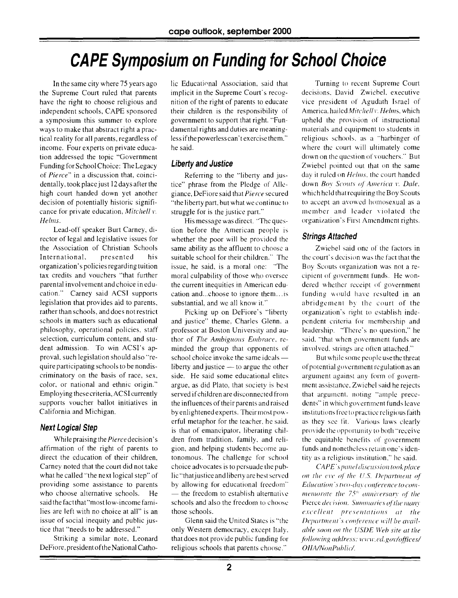# **CAPE Symposium on Funding for School Choice**

In the same city where 75 years ago the Supreme Court ruled that parents have the right to choose religious and independent schools, CAPE sponsored a symposium this summer to explore ways to make that abstract right a practical reality for all parents, regardless of income. Four experts on private education addressed the topic "Government Funding for School Choice: The Legacy of *Pierce"* in a discussion that, coincidentally, took place just 12 days after the high court handed down yet another decision of potentially historic significance for private education, *Mitchell v. Helms.* 

Lead-off speaker Burt Carney, director of legal and legislative issues for the Association of Christian Schools International, presented his organization's policies regarding tuition tax credits and vouchers "that further parental involvement and choice in education." Carney said ACSI supports legislation that provides aid to parents, rather than schools, and does not restrict schools in matters such as educational philosophy, operational policies, staff selection, curriculum content, and student admission. To win ACSI's approval, such legislation should also "require participating schools to be nondiscriminatory on the basis of race, sex, color, or national and ethnic origin." Employing these criteria, ACSI currently supports voucher ballot initiatives in California and Michigan.

#### **Next Logical Step**

While praising the *Pierce* decision's affirmation of the right of parents to direct the education of their children, Carney noted that the court did not take what he called "the next logical step" of providing some assistance to parents who choose alternative schools. He said the fact that "most low-income families are left with no choice at all" is an issue of social inequity and public justice that "needs to be addressed."

Striking a similar note, Leonard DeFiore, president of the National Catho-

lic Educational Association, said that implicit in the Supreme Court's recognition of the right of parents to educate their children is the responsibility of government to support that right. "Fundamental rights and duties are meaningless if the powerless can't exercise them." he said.

#### **Liberty and Justice**

Referring to the "liberty and justice" phrase from the Pledge of Allegiance, DeFiore said that *Pierce* secured "the liberty part. but what we continue to struggle for is the justice part."

His message was direct. "The question before the American people is whether the poor will be provided the same ability as the affluent to choose a suitable school for their children." The issue, he said, is a moral one: "The moral culpability of those who oversee the current inequities in American education and...choose to ignore them... is substantial, and we all know it."

Picking up on DeFiore's "liberty and justice" theme, Charles Glenn, a professor at Boston University and author of *The Ambiguous Embrace,* reminded the group that opponents of school choice invoke the same ideals liberty and justice — to argue the other side. He said some educational elites argue, as did Plato, that society is best served if children are disconnected from the influences of their parents and raised by enlightened experts. Their most powerful metaphor for the teacher, he said, is that of emancipator, liberating children from tradition, family, and religion, and helping students become autonomous. The challenge for school choice advocates is to persuade the public "that justice and liberty are best served by allowing for educational freedom" — the freedom to establish alternative schools and also the freedom to choose those schools.

Glenn said the United States is "the only Western democracy, except Italy. that does not provide public funding for religious schools that parents choose."

Turning to recent Supreme Court decisions. David Zwiebel, executive vice president of Aggudath Israel of America. hailed *Mitchell r. Helms,* which upheld the provision of instructional materials and equipment to students in religious schools, as a "harbinger of where the court will ultimately come down on the question of vouchers." But Zwiebel pointed out that on the same day it ruled on *Helms,* the court handed down *Boy Scouts of America v. Dale,*  which held that requiring the Boy Scouts to accept an avowed homosexual as a member and leader violated the organization's First Amendment rights.

#### **Strings Attached**

Zwiebel said one of the factors in the court's decision was the fact that the Boy Scouts organization was not a recipient of government funds. He wondered whether receipt of government funding would have resulted in an abridgement by the court of the organization's right to establish independent criteria for membership and leadership. "There's no question," he said, "that when government funds are involved, strings are often attached."

But while some people use the threat of potential government regulation as an argument against any form of government assistance. Zwiebel said he rejects that argument. noting "ample precedents" in which government funds leave institutions free to practice religious faith as they see fit. Various laws clearly provide the opportunity to both "receive the equitable benefits of government funds and nonetheless retain one's identity as a religious institution," he said.

*CAPE's panel discussion took place on the eec of the U.S. Department of*  Education's two-day conference to *commemorate the 75<sup>th</sup> anniversary of the* Pierce *decision*. Summaries of the many *excellent presentations at the Department's carterence will be available soon on the (ISDE Web site at the following address: www.ed.gov/offices/ OIIA/NonPublic/.*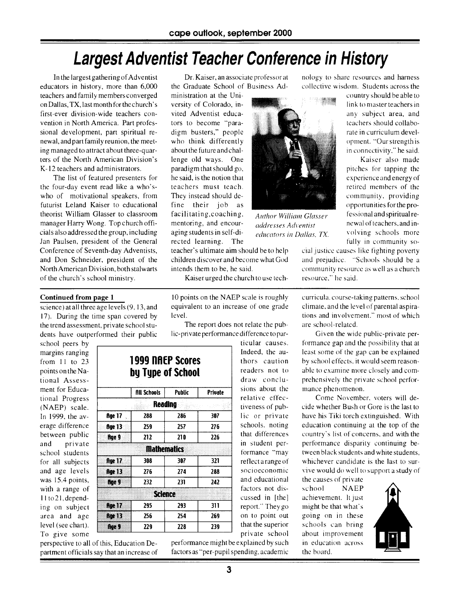## **Largest Adventist Teacher Conference in History**

In the largest gathering of Adventist educators in history, more than 6,000 teachers and family members converged on Dallas, TX, last month for the church's first-ever division-wide teachers convention in North America. Part professional development, part spiritual renewal, and part family reunion, the meeting managed to attract about three-quarters of the North American Division's K-12 teachers and administrators.

The list of featured presenters for the four-day event read like a who'swho of motivational speakers, from futurist Leland Kaiser to educational theorist William Glasser to classroom manager Harry Wong. Top church officials also addressed the group, including Jan Paulsen, president of the General Conference of Seventh-day Adventists, and Don Schneider, president of the North American Division, both stalwarts of the church's school ministry.

science) at all three age levels (9, 13, and 17). During the time span covered by the trend assessment, private school students have outperformed their public

**Continued from page 1** 

Dr. Kaiser, an associate professor at the Graduate School of Business Ad-

ministration at the University of Colorado, invited Adventist educators to become "paradigm busters," people who think differently about the future and challenge old ways. One paradigm that should go, he said, is the notion that teachers must teach. They instead should define their job as facilitating, coaching, mentoring, and encouraging students in self-directed learning. The

teacher's ultimate aim should be to help children discover and become what God intends them to be, he said.

Kaiser urged the church to use tech-

10 points on the NAEP scale is roughly equivalent to an increase of one grade level.

The report does not relate the public-private performance difference to par-

> ticular causes. Indeed, the authors caution readers not to draw conclusions about the relative effectiveness of public or private schools, noting that differences in student performance "may reflect a range of socioeconomic and educational factors not discussed in [the] report." They go on to point out that the superior private school

school peers by margins ranging from 11 to 23 points on the National Assessment for Educational Progress (NAEP) scale. In 1999, the average difference between public and private school students for all subjects and age levels was 15.4 points, with a range of 11to2l,depending on subject area and age level (see chart). To give some

| <b>1999 NAEP Scores</b><br>by Type of School |                    |               |         |  |
|----------------------------------------------|--------------------|---------------|---------|--|
|                                              | <b>All Schools</b> | <b>Public</b> | Private |  |
|                                              | Reading            |               |         |  |
| <b>Age 17</b>                                | 288                | 286           | 307     |  |
| flge 13                                      | 259                | 257           | 276     |  |
| Rge 9                                        | 212                | 210           | 226     |  |
|                                              | <b>Mathematics</b> |               |         |  |
| <b>Age 17</b>                                | 308                | 307           | 321     |  |
| <b>Age 13</b>                                | 276                | 274           | 288     |  |
| fige 9                                       | 232                | 231           | 242     |  |
|                                              | <b>Science</b>     |               |         |  |
| fige 17                                      | 295                | 293           | 311     |  |
| <b>Age 13</b>                                | 256                | 254           | 269     |  |
| 60 O                                         | 229                | 228           | 239     |  |

perspective to all of this, Education Department officials say that an increase of performance might be explained by such factors as "per-pupil spending, academic

nology to share resources and harness collective wisdom. Students across the

country should be able to link to master teachers in any subject area, and teachers should collaborate in curriculum development. "Our strength is in connectivity." he said. Kaiser also made

pitches for tapping the experience and energy of retired members of the community, providing opportunities for the professional and spiritual renewal of teachers, and involving schools more fully in community so-

cial justice causes like fighting poverty and prejudice. "Schools should be a community resource as well as a church resource." he said.

curricula, course-taking patterns, school climate, and the level of parental aspirations and involvement." most of which are school-related.

Given the wide public-private performance gap and the possibility that at least some of the gap can be explained by school effects, it would seem reasonable to examine more closely and comprehensively the private school performance phenomenon.

Come November, voters will decide whether Bush or Gore is the last to have his Tiki torch extinguished. With education continuing at the top of the country's list of concerns, and with the performance disparity continuing between black students and white students, whichever candidate is the last to survive would do well to support a study of

the causes of private school NAEP achievement. It just might be that what's going on in these schools can bring about improvement in education across the board.